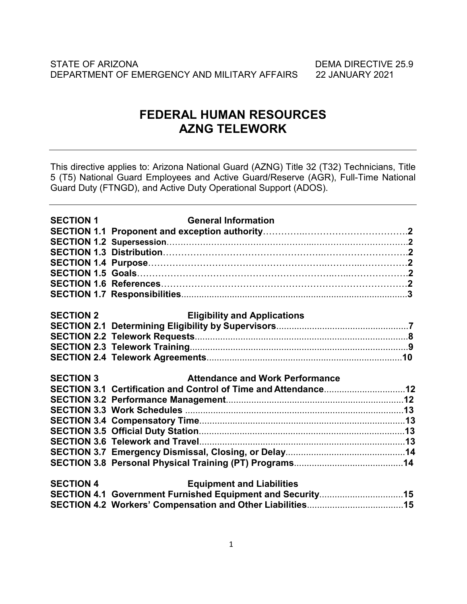# **FEDERAL HUMAN RESOURCES AZNG TELEWORK**

This directive applies to: Arizona National Guard (AZNG) Title 32 (T32) Technicians, Title 5 (T5) National Guard Employees and Active Guard/Reserve (AGR), Full-Time National Guard Duty (FTNGD), and Active Duty Operational Support (ADOS).

| <b>SECTION 1</b> | <b>General Information</b>                                     |  |
|------------------|----------------------------------------------------------------|--|
|                  |                                                                |  |
|                  |                                                                |  |
|                  |                                                                |  |
|                  |                                                                |  |
|                  |                                                                |  |
|                  |                                                                |  |
|                  |                                                                |  |
|                  |                                                                |  |
| <b>SECTION 2</b> | <b>Eligibility and Applications</b>                            |  |
|                  |                                                                |  |
|                  |                                                                |  |
|                  |                                                                |  |
|                  |                                                                |  |
|                  |                                                                |  |
| <b>SECTION 3</b> | <b>Attendance and Work Performance</b>                         |  |
|                  | SECTION 3.1 Certification and Control of Time and Attendance12 |  |
|                  |                                                                |  |
|                  |                                                                |  |
|                  |                                                                |  |
|                  |                                                                |  |
|                  |                                                                |  |
|                  |                                                                |  |
|                  |                                                                |  |
|                  |                                                                |  |
| <b>SECTION 4</b> | <b>Equipment and Liabilities</b>                               |  |
|                  | SECTION 4.1 Government Furnished Equipment and Security15      |  |
|                  |                                                                |  |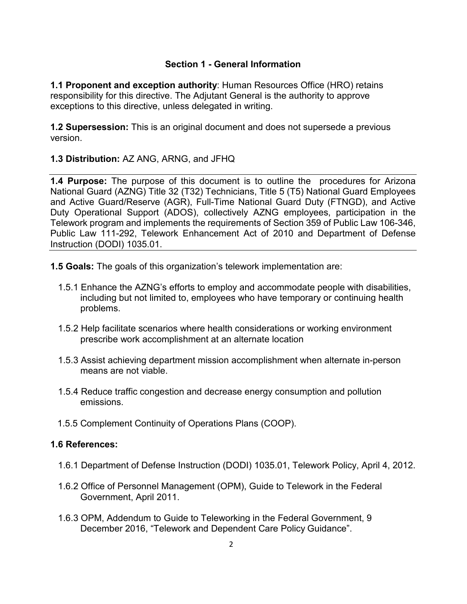# **Section 1 - General Information**

**1.1 Proponent and exception authority**: Human Resources Office (HRO) retains responsibility for this directive. The Adjutant General is the authority to approve exceptions to this directive, unless delegated in writing.

**1.2 Supersession:** This is an original document and does not supersede a previous version.

**1.3 Distribution:** AZ ANG, ARNG, and JFHQ

**1.4 Purpose:** The purpose of this document is to outline the procedures for Arizona National Guard (AZNG) Title 32 (T32) Technicians, Title 5 (T5) National Guard Employees and Active Guard/Reserve (AGR), Full-Time National Guard Duty (FTNGD), and Active Duty Operational Support (ADOS), collectively AZNG employees, participation in the Telework program and implements the requirements of Section 359 of Public Law 106-346, Public Law 111-292, Telework Enhancement Act of 2010 and Department of Defense Instruction (DODI) 1035.01.

**1.5 Goals:** The goals of this organization's telework implementation are:

- 1.5.1 Enhance the AZNG's efforts to employ and accommodate people with disabilities, including but not limited to, employees who have temporary or continuing health problems.
- 1.5.2 Help facilitate scenarios where health considerations or working environment prescribe work accomplishment at an alternate location
- 1.5.3 Assist achieving department mission accomplishment when alternate in-person means are not viable.
- 1.5.4 Reduce traffic congestion and decrease energy consumption and pollution emissions.
- 1.5.5 Complement Continuity of Operations Plans (COOP).

# **1.6 References:**

- 1.6.1 Department of Defense Instruction (DODI) 1035.01, Telework Policy, April 4, 2012.
- 1.6.2 Office of Personnel Management (OPM), Guide to Telework in the Federal Government, April 2011.
- 1.6.3 OPM, Addendum to Guide to Teleworking in the Federal Government, 9 December 2016, "Telework and Dependent Care Policy Guidance".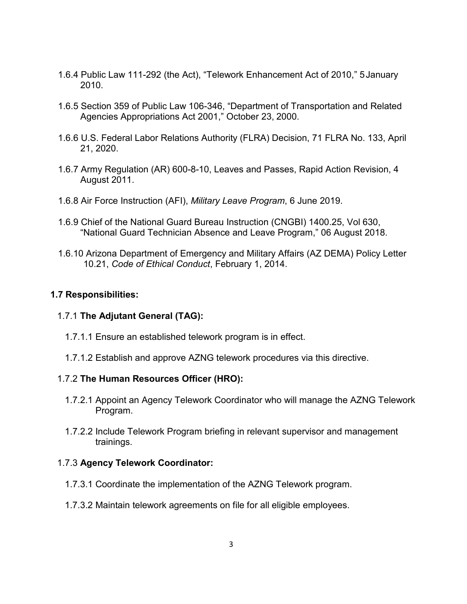- 1.6.4 Public Law 111-292 (the Act), "Telework Enhancement Act of 2010," 5January 2010.
- 1.6.5 Section 359 of Public Law 106-346, "Department of Transportation and Related Agencies Appropriations Act 2001," October 23, 2000.
- 1.6.6 U.S. Federal Labor Relations Authority (FLRA) Decision, 71 FLRA No. 133, April 21, 2020.
- 1.6.7 Army Regulation (AR) 600-8-10, Leaves and Passes, Rapid Action Revision, 4 August 2011.
- 1.6.8 Air Force Instruction (AFI), *Military Leave Program*, 6 June 2019.
- 1.6.9 Chief of the National Guard Bureau Instruction (CNGBI) 1400.25, Vol 630, "National Guard Technician Absence and Leave Program," 06 August 2018.
- 1.6.10 Arizona Department of Emergency and Military Affairs (AZ DEMA) Policy Letter 10.21, *Code of Ethical Conduct*, February 1, 2014.

### **1.7 Responsibilities:**

# 1.7.1 **The Adjutant General (TAG):**

- 1.7.1.1 Ensure an established telework program is in effect.
- 1.7.1.2 Establish and approve AZNG telework procedures via this directive.

# 1.7.2 **The Human Resources Officer (HRO):**

- 1.7.2.1 Appoint an Agency Telework Coordinator who will manage the AZNG Telework Program.
- 1.7.2.2 Include Telework Program briefing in relevant supervisor and management trainings.

# 1.7.3 **Agency Telework Coordinator:**

- 1.7.3.1 Coordinate the implementation of the AZNG Telework program.
- 1.7.3.2 Maintain telework agreements on file for all eligible employees.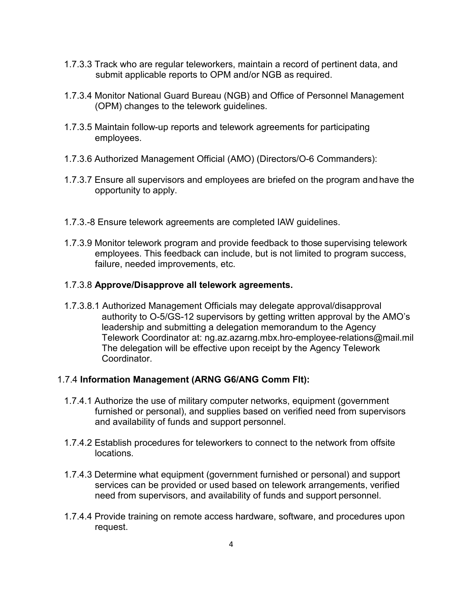- 1.7.3.3 Track who are regular teleworkers, maintain a record of pertinent data, and submit applicable reports to OPM and/or NGB as required.
- 1.7.3.4 Monitor National Guard Bureau (NGB) and Office of Personnel Management (OPM) changes to the telework guidelines.
- 1.7.3.5 Maintain follow-up reports and telework agreements for participating employees.
- 1.7.3.6 Authorized Management Official (AMO) (Directors/O-6 Commanders):
- 1.7.3.7 Ensure all supervisors and employees are briefed on the program andhave the opportunity to apply.
- 1.7.3.-8 Ensure telework agreements are completed IAW guidelines.
- 1.7.3.9 Monitor telework program and provide feedback to those supervising telework employees. This feedback can include, but is not limited to program success, failure, needed improvements, etc.

### 1.7.3.8 **Approve/Disapprove all telework agreements.**

1.7.3.8.1 Authorized Management Officials may delegate approval/disapproval authority to O-5/GS-12 supervisors by getting written approval by the AMO's leadership and submitting a delegation memorandum to the Agency Telework Coordinator at: ng.az.azarng.mbx.hro-employee-relations@mail.mil The delegation will be effective upon receipt by the Agency Telework Coordinator.

### 1.7.4 **Information Management (ARNG G6/ANG Comm Flt):**

- 1.7.4.1 Authorize the use of military computer networks, equipment (government furnished or personal), and supplies based on verified need from supervisors and availability of funds and support personnel.
- 1.7.4.2 Establish procedures for teleworkers to connect to the network from offsite locations.
- 1.7.4.3 Determine what equipment (government furnished or personal) and support services can be provided or used based on telework arrangements, verified need from supervisors, and availability of funds and support personnel.
- 1.7.4.4 Provide training on remote access hardware, software, and procedures upon request.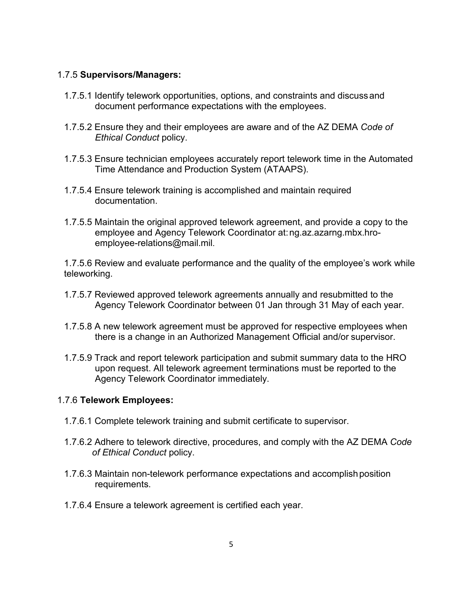### 1.7.5 **Supervisors/Managers:**

- 1.7.5.1 Identify telework opportunities, options, and constraints and discussand document performance expectations with the employees.
- 1.7.5.2 Ensure they and their employees are aware and of the AZ DEMA *Code of Ethical Conduct* policy.
- 1.7.5.3 Ensure technician employees accurately report telework time in the Automated Time Attendance and Production System (ATAAPS).
- 1.7.5.4 Ensure telework training is accomplished and maintain required documentation.
- 1.7.5.5 Maintain the original approved telework agreement, and provide a copy to the employee and Agency Telework Coordinator at[:ng.az.azarng.mbx.hro](mailto:ng.az.azarng.mbx.hro-employee-relations@mail.mil)[employee-relations@mail.mil.](mailto:ng.az.azarng.mbx.hro-employee-relations@mail.mil)

1.7.5.6 Review and evaluate performance and the quality of the employee's work while teleworking.

- 1.7.5.7 Reviewed approved telework agreements annually and resubmitted to the Agency Telework Coordinator between 01 Jan through 31 May of each year.
- 1.7.5.8 A new telework agreement must be approved for respective employees when there is a change in an Authorized Management Official and/or supervisor.
- 1.7.5.9 Track and report telework participation and submit summary data to the HRO upon request. All telework agreement terminations must be reported to the Agency Telework Coordinator immediately.

# 1.7.6 **Telework Employees:**

- 1.7.6.1 Complete telework training and submit certificate to supervisor.
- 1.7.6.2 Adhere to telework directive, procedures, and comply with the AZ DEMA *Code of Ethical Conduct* policy.
- 1.7.6.3 Maintain non-telework performance expectations and accomplishposition requirements.
- 1.7.6.4 Ensure a telework agreement is certified each year.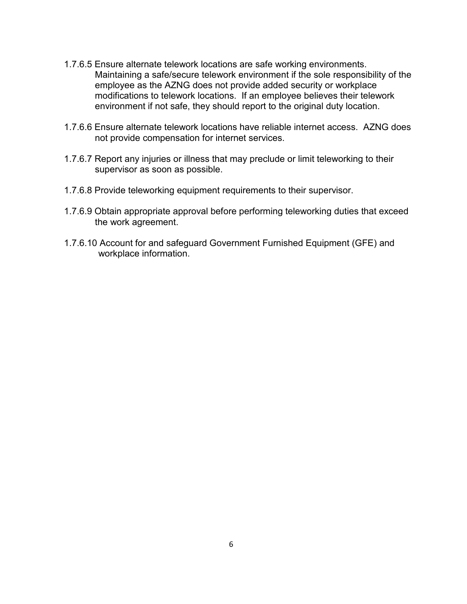- 1.7.6.5 Ensure alternate telework locations are safe working environments. Maintaining a safe/secure telework environment if the sole responsibility of the employee as the AZNG does not provide added security or workplace modifications to telework locations. If an employee believes their telework environment if not safe, they should report to the original duty location.
- 1.7.6.6 Ensure alternate telework locations have reliable internet access. AZNG does not provide compensation for internet services.
- 1.7.6.7 Report any injuries or illness that may preclude or limit teleworking to their supervisor as soon as possible.
- 1.7.6.8 Provide teleworking equipment requirements to their supervisor.
- 1.7.6.9 Obtain appropriate approval before performing teleworking duties that exceed the work agreement.
- 1.7.6.10 Account for and safeguard Government Furnished Equipment (GFE) and workplace information.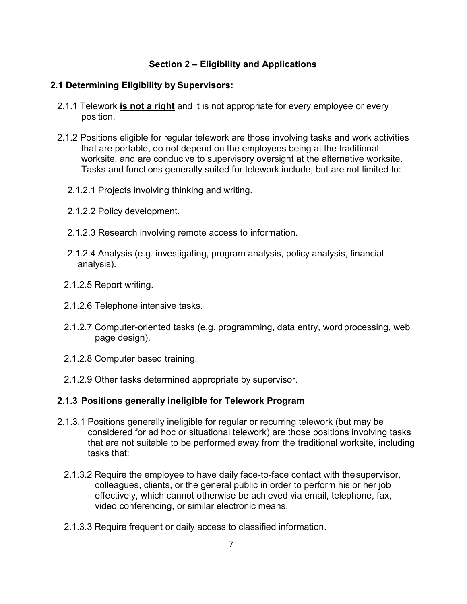# **Section 2 – Eligibility and Applications**

### **2.1 Determining Eligibility by Supervisors:**

- 2.1.1 Telework **is not a right** and it is not appropriate for every employee or every position.
- 2.1.2 Positions eligible for regular telework are those involving tasks and work activities that are portable, do not depend on the employees being at the traditional worksite, and are conducive to supervisory oversight at the alternative worksite. Tasks and functions generally suited for telework include, but are not limited to:
	- 2.1.2.1 Projects involving thinking and writing.
	- 2.1.2.2 Policy development.
	- 2.1.2.3 Research involving remote access to information.
	- 2.1.2.4 Analysis (e.g. investigating, program analysis, policy analysis, financial analysis).
	- 2.1.2.5 Report writing.
	- 2.1.2.6 Telephone intensive tasks.
	- 2.1.2.7 Computer-oriented tasks (e.g. programming, data entry, word processing, web page design).
	- 2.1.2.8 Computer based training.
	- 2.1.2.9 Other tasks determined appropriate by supervisor.

# **2.1.3 Positions generally ineligible for Telework Program**

- 2.1.3.1 Positions generally ineligible for regular or recurring telework (but may be considered for ad hoc or situational telework) are those positions involving tasks that are not suitable to be performed away from the traditional worksite, including tasks that:
	- 2.1.3.2 Require the employee to have daily face-to-face contact with thesupervisor, colleagues, clients, or the general public in order to perform his or her job effectively, which cannot otherwise be achieved via email, telephone, fax, video conferencing, or similar electronic means.
	- 2.1.3.3 Require frequent or daily access to classified information.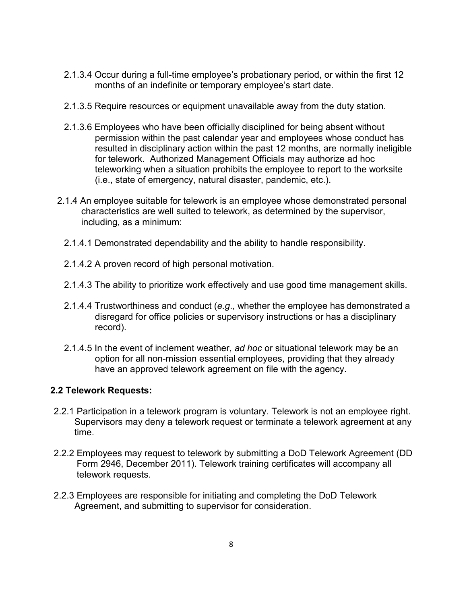- 2.1.3.4 Occur during a full-time employee's probationary period, or within the first 12 months of an indefinite or temporary employee's start date.
- 2.1.3.5 Require resources or equipment unavailable away from the duty station.
- 2.1.3.6 Employees who have been officially disciplined for being absent without permission within the past calendar year and employees whose conduct has resulted in disciplinary action within the past 12 months, are normally ineligible for telework. Authorized Management Officials may authorize ad hoc teleworking when a situation prohibits the employee to report to the worksite (i.e., state of emergency, natural disaster, pandemic, etc.).
- 2.1.4 An employee suitable for telework is an employee whose demonstrated personal characteristics are well suited to telework, as determined by the supervisor, including, as a minimum:
	- 2.1.4.1 Demonstrated dependability and the ability to handle responsibility.
	- 2.1.4.2 A proven record of high personal motivation.
	- 2.1.4.3 The ability to prioritize work effectively and use good time management skills.
	- 2.1.4.4 Trustworthiness and conduct (*e.g*., whether the employee has demonstrated a disregard for office policies or supervisory instructions or has a disciplinary record).
	- 2.1.4.5 In the event of inclement weather, *ad hoc* or situational telework may be an option for all non-mission essential employees, providing that they already have an approved telework agreement on file with the agency.

# **2.2 Telework Requests:**

- 2.2.1 Participation in a telework program is voluntary. Telework is not an employee right. Supervisors may deny a telework request or terminate a telework agreement at any time.
- 2.2.2 Employees may request to telework by submitting a DoD Telework Agreement (DD Form 2946, December 2011). Telework training certificates will accompany all telework requests.
- 2.2.3 Employees are responsible for initiating and completing the DoD Telework Agreement, and submitting to supervisor for consideration.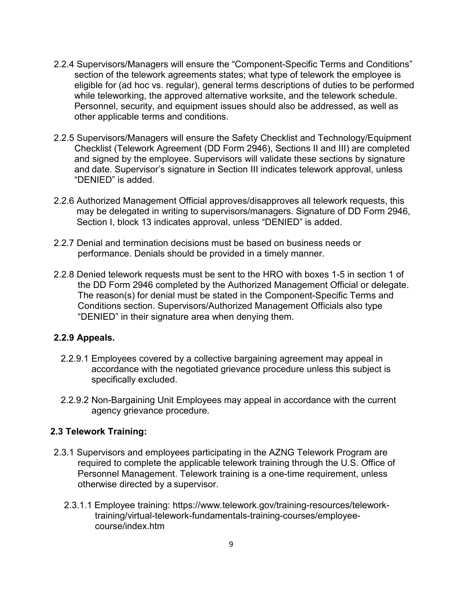- 2.2.4 Supervisors/Managers will ensure the "Component-Specific Terms and Conditions" section of the telework agreements states; what type of telework the employee is eligible for (ad hoc vs. regular), general terms descriptions of duties to be performed while teleworking, the approved alternative worksite, and the telework schedule. Personnel, security, and equipment issues should also be addressed, as well as other applicable terms and conditions.
- 2.2.5 Supervisors/Managers will ensure the Safety Checklist and Technology/Equipment Checklist (Telework Agreement (DD Form 2946), Sections II and III) are completed and signed by the employee. Supervisors will validate these sections by signature and date. Supervisor's signature in Section III indicates telework approval, unless "DENIED" is added.
- 2.2.6 Authorized Management Official approves/disapproves all telework requests, this may be delegated in writing to supervisors/managers. Signature of DD Form 2946, Section I, block 13 indicates approval, unless "DENIED" is added.
- 2.2.7 Denial and termination decisions must be based on business needs or performance. Denials should be provided in a timely manner.
- 2.2.8 Denied telework requests must be sent to the HRO with boxes 1-5 in section 1 of the DD Form 2946 completed by the Authorized Management Official or delegate. The reason(s) for denial must be stated in the Component-Specific Terms and Conditions section. Supervisors/Authorized Management Officials also type "DENIED" in their signature area when denying them.

# **2.2.9 Appeals.**

- 2.2.9.1 Employees covered by a collective bargaining agreement may appeal in accordance with the negotiated grievance procedure unless this subject is specifically excluded.
- 2.2.9.2 Non-Bargaining Unit Employees may appeal in accordance with the current agency grievance procedure.

# **2.3 Telework Training:**

- 2.3.1 Supervisors and employees participating in the AZNG Telework Program are required to complete the applicable telework training through the U.S. Office of Personnel Management. Telework training is a one-time requirement, unless otherwise directed by a supervisor.
	- 2.3.1.1 Employee training: https://www.telework.gov/training-resources/telework[training/virtual-telework-fundamentals-training-courses/employee](https://www.telework.gov/training-resources/telework-training/virtual-telework-fundamentals-training-courses/employee-course/index.htm)[course/index.htm](https://www.telework.gov/training-resources/telework-training/virtual-telework-fundamentals-training-courses/employee-course/index.htm)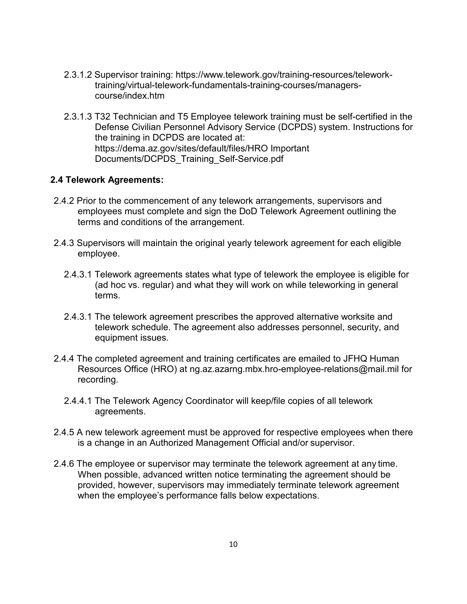- 2.3.1.2 Supervisor training: https://www.telework.gov/training-resources/telework[training/virtual-telework-fundamentals-training-courses/managers](https://www.telework.gov/training-resources/telework-training/virtual-telework-fundamentals-training-courses/managers-course/index.htm)[course/index.htm](https://www.telework.gov/training-resources/telework-training/virtual-telework-fundamentals-training-courses/managers-course/index.htm)
- 2.3.1.3 T32 Technician and T5 Employee telework training must be self-certified in the Defense Civilian Personnel Advisory Service (DCPDS) system. Instructions for the training in DCPDS are located at: https://dema.az.gov/sites/default/files/HRO Important Documents/DCPDS\_Training\_Self-Service.pdf

### **2.4 Telework Agreements:**

- 2.4.2 Prior to the commencement of any telework arrangements, supervisors and employees must complete and sign the DoD Telework Agreement outlining the terms and conditions of the arrangement.
- 2.4.3 Supervisors will maintain the original yearly telework agreement for each eligible employee.
	- 2.4.3.1 Telework agreements states what type of telework the employee is eligible for (ad hoc vs. regular) and what they will work on while teleworking in general terms.
	- 2.4.3.1 The telework agreement prescribes the approved alternative worksite and telework schedule. The agreement also addresses personnel, security, and equipment issues.
- 2.4.4 The completed agreement and training certificates are emailed to JFHQ Human Resources Office (HRO) at ng.az.azarng.mbx.hro-employee-relations@mail.mil for recording.
	- 2.4.4.1 The Telework Agency Coordinator will keep/file copies of all telework agreements.
- 2.4.5 A new telework agreement must be approved for respective employees when there is a change in an Authorized Management Official and/or supervisor.
- 2.4.6 The employee or supervisor may terminate the telework agreement at any time. When possible, advanced written notice terminating the agreement should be provided, however, supervisors may immediately terminate telework agreement when the employee's performance falls below expectations.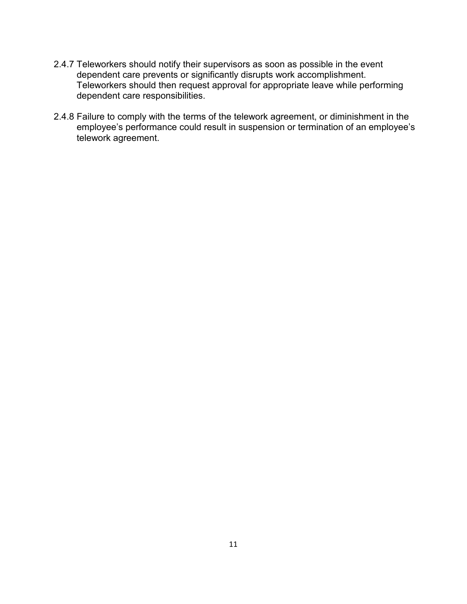- 2.4.7 Teleworkers should notify their supervisors as soon as possible in the event dependent care prevents or significantly disrupts work accomplishment. Teleworkers should then request approval for appropriate leave while performing dependent care responsibilities.
- 2.4.8 Failure to comply with the terms of the telework agreement, or diminishment in the employee's performance could result in suspension or termination of an employee's telework agreement.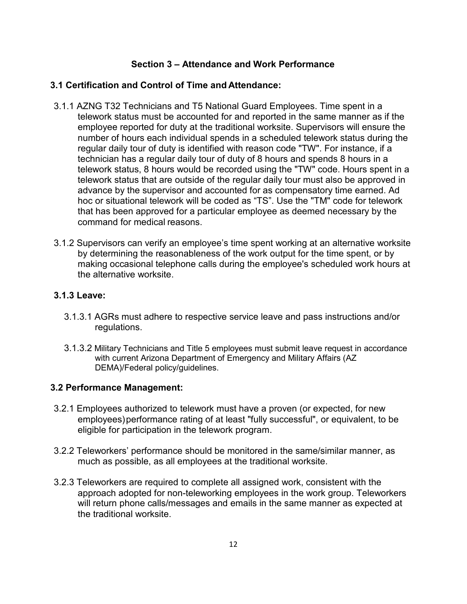# **Section 3 – Attendance and Work Performance**

# **3.1 Certification and Control of Time and Attendance:**

- 3.1.1 AZNG T32 Technicians and T5 National Guard Employees. Time spent in a telework status must be accounted for and reported in the same manner as if the employee reported for duty at the traditional worksite. Supervisors will ensure the number of hours each individual spends in a scheduled telework status during the regular daily tour of duty is identified with reason code "TW". For instance, if a technician has a regular daily tour of duty of 8 hours and spends 8 hours in a telework status, 8 hours would be recorded using the "TW" code. Hours spent in a telework status that are outside of the regular daily tour must also be approved in advance by the supervisor and accounted for as compensatory time earned. Ad hoc or situational telework will be coded as "TS". Use the "TM" code for telework that has been approved for a particular employee as deemed necessary by the command for medical reasons.
- 3.1.2 Supervisors can verify an employee's time spent working at an alternative worksite by determining the reasonableness of the work output for the time spent, or by making occasional telephone calls during the employee's scheduled work hours at the alternative worksite.

# **3.1.3 Leave:**

- 3.1.3.1 AGRs must adhere to respective service leave and pass instructions and/or regulations.
- 3.1.3.2 Military Technicians and Title 5 employees must submit leave request in accordance with current Arizona Department of Emergency and Military Affairs (AZ DEMA)/Federal policy/guidelines.

# **3.2 Performance Management:**

- 3.2.1 Employees authorized to telework must have a proven (or expected, for new employees)performance rating of at least "fully successful", or equivalent, to be eligible for participation in the telework program.
- 3.2.2 Teleworkers' performance should be monitored in the same/similar manner, as much as possible, as all employees at the traditional worksite.
- 3.2.3 Teleworkers are required to complete all assigned work, consistent with the approach adopted for non-teleworking employees in the work group. Teleworkers will return phone calls/messages and emails in the same manner as expected at the traditional worksite.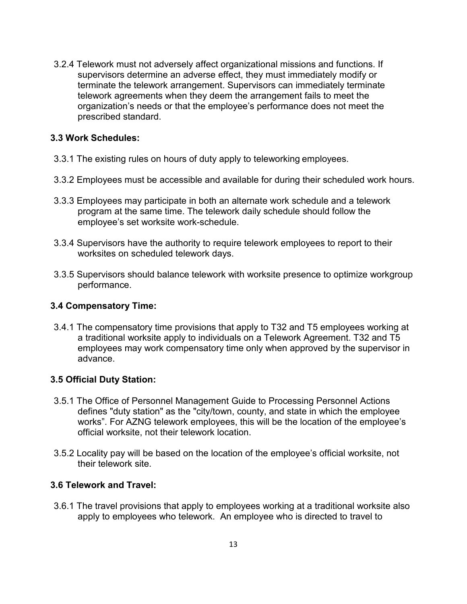3.2.4 Telework must not adversely affect organizational missions and functions. If supervisors determine an adverse effect, they must immediately modify or terminate the telework arrangement. Supervisors can immediately terminate telework agreements when they deem the arrangement fails to meet the organization's needs or that the employee's performance does not meet the prescribed standard.

### **3.3 Work Schedules:**

- 3.3.1 The existing rules on hours of duty apply to teleworking employees.
- 3.3.2 Employees must be accessible and available for during their scheduled work hours.
- 3.3.3 Employees may participate in both an alternate work schedule and a telework program at the same time. The telework daily schedule should follow the employee's set worksite work-schedule.
- 3.3.4 Supervisors have the authority to require telework employees to report to their worksites on scheduled telework days.
- 3.3.5 Supervisors should balance telework with worksite presence to optimize workgroup performance.

### **3.4 Compensatory Time:**

3.4.1 The compensatory time provisions that apply to T32 and T5 employees working at a traditional worksite apply to individuals on a Telework Agreement. T32 and T5 employees may work compensatory time only when approved by the supervisor in advance.

### **3.5 Official Duty Station:**

- 3.5.1 The Office of Personnel Management Guide to Processing Personnel Actions defines "duty station" as the "city/town, county, and state in which the employee works". For AZNG telework employees, this will be the location of the employee's official worksite, not their telework location.
- 3.5.2 Locality pay will be based on the location of the employee's official worksite, not their telework site.

### **3.6 Telework and Travel:**

3.6.1 The travel provisions that apply to employees working at a traditional worksite also apply to employees who telework. An employee who is directed to travel to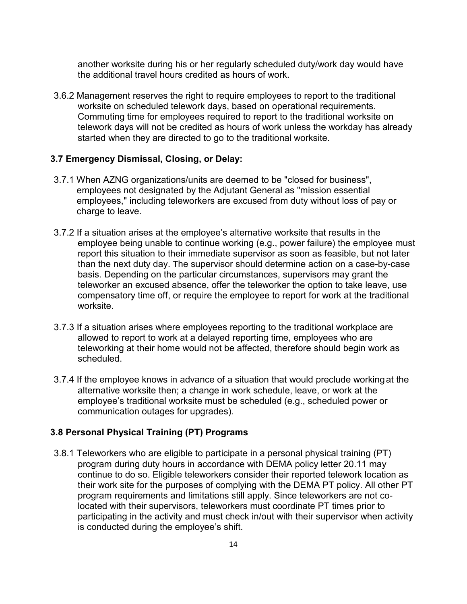another worksite during his or her regularly scheduled duty/work day would have the additional travel hours credited as hours of work.

3.6.2 Management reserves the right to require employees to report to the traditional worksite on scheduled telework days, based on operational requirements. Commuting time for employees required to report to the traditional worksite on telework days will not be credited as hours of work unless the workday has already started when they are directed to go to the traditional worksite.

### **3.7 Emergency Dismissal, Closing, or Delay:**

- 3.7.1 When AZNG organizations/units are deemed to be "closed for business", employees not designated by the Adjutant General as "mission essential employees," including teleworkers are excused from duty without loss of pay or charge to leave.
- 3.7.2 If a situation arises at the employee's alternative worksite that results in the employee being unable to continue working (e.g., power failure) the employee must report this situation to their immediate supervisor as soon as feasible, but not later than the next duty day. The supervisor should determine action on a case-by-case basis. Depending on the particular circumstances, supervisors may grant the teleworker an excused absence, offer the teleworker the option to take leave, use compensatory time off, or require the employee to report for work at the traditional worksite.
- 3.7.3 If a situation arises where employees reporting to the traditional workplace are allowed to report to work at a delayed reporting time, employees who are teleworking at their home would not be affected, therefore should begin work as scheduled.
- 3.7.4 If the employee knows in advance of a situation that would preclude workingat the alternative worksite then; a change in work schedule, leave, or work at the employee's traditional worksite must be scheduled (e.g., scheduled power or communication outages for upgrades).

### **3.8 Personal Physical Training (PT) Programs**

3.8.1 Teleworkers who are eligible to participate in a personal physical training (PT) program during duty hours in accordance with DEMA policy letter 20.11 may continue to do so. Eligible teleworkers consider their reported telework location as their work site for the purposes of complying with the DEMA PT policy. All other PT program requirements and limitations still apply. Since teleworkers are not colocated with their supervisors, teleworkers must coordinate PT times prior to participating in the activity and must check in/out with their supervisor when activity is conducted during the employee's shift.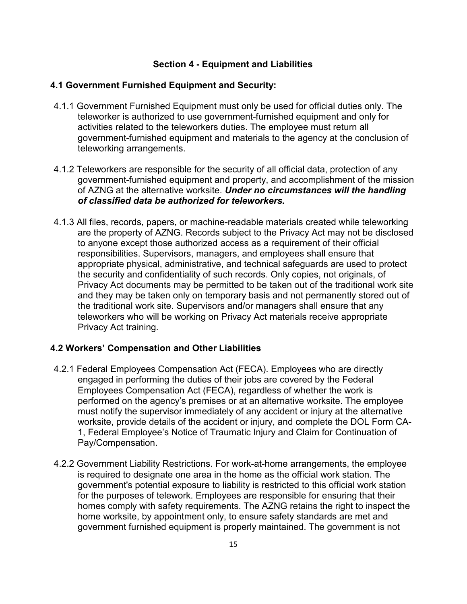# **Section 4 - Equipment and Liabilities**

### **4.1 Government Furnished Equipment and Security:**

- 4.1.1 Government Furnished Equipment must only be used for official duties only. The teleworker is authorized to use government-furnished equipment and only for activities related to the teleworkers duties. The employee must return all government-furnished equipment and materials to the agency at the conclusion of teleworking arrangements.
- 4.1.2 Teleworkers are responsible for the security of all official data, protection of any government-furnished equipment and property, and accomplishment of the mission of AZNG at the alternative worksite. *Under no circumstances will the handling of classified data be authorized for teleworkers.*
- 4.1.3 All files, records, papers, or machine-readable materials created while teleworking are the property of AZNG. Records subject to the Privacy Act may not be disclosed to anyone except those authorized access as a requirement of their official responsibilities. Supervisors, managers, and employees shall ensure that appropriate physical, administrative, and technical safeguards are used to protect the security and confidentiality of such records. Only copies, not originals, of Privacy Act documents may be permitted to be taken out of the traditional work site and they may be taken only on temporary basis and not permanently stored out of the traditional work site. Supervisors and/or managers shall ensure that any teleworkers who will be working on Privacy Act materials receive appropriate Privacy Act training.

# **4.2 Workers' Compensation and Other Liabilities**

- 4.2.1 Federal Employees Compensation Act (FECA). Employees who are directly engaged in performing the duties of their jobs are covered by the Federal Employees Compensation Act (FECA), regardless of whether the work is performed on the agency's premises or at an alternative worksite. The employee must notify the supervisor immediately of any accident or injury at the alternative worksite, provide details of the accident or injury, and complete the DOL Form CA-1, Federal Employee's Notice of Traumatic Injury and Claim for Continuation of Pay/Compensation.
- 4.2.2 Government Liability Restrictions. For work-at-home arrangements, the employee is required to designate one area in the home as the official work station. The government's potential exposure to liability is restricted to this official work station for the purposes of telework. Employees are responsible for ensuring that their homes comply with safety requirements. The AZNG retains the right to inspect the home worksite, by appointment only, to ensure safety standards are met and government furnished equipment is properly maintained. The government is not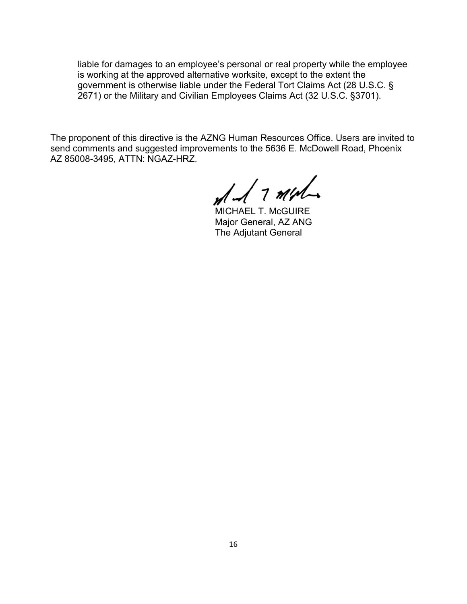liable for damages to an employee's personal or real property while the employee is working at the approved alternative worksite, except to the extent the government is otherwise liable under the Federal Tort Claims Act (28 U.S.C. § 2671) or the Military and Civilian Employees Claims Act (32 U.S.C. §3701).

The proponent of this directive is the AZNG Human Resources Office. Users are invited to send comments and suggested improvements to the 5636 E. McDowell Road, Phoenix AZ 85008-3495, ATTN: NGAZ-HRZ.

 $d$  1 minh

MICHAEL T. McGUIRE Major General, AZ ANG The Adjutant General